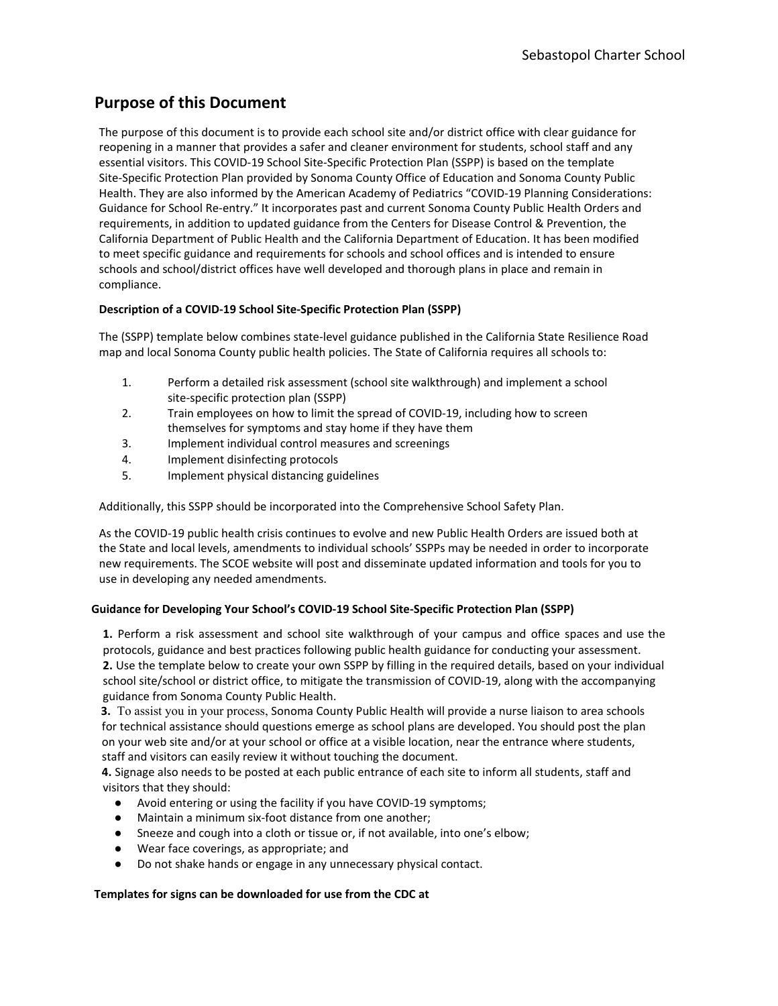## **Purpose of this Document**

The purpose of this document is to provide each school site and/or district office with clear guidance for reopening in a manner that provides a safer and cleaner environment for students, school staff and any essential visitors. This COVID-19 School Site-Specific Protection Plan (SSPP) is based on the template Site-Specific Protection Plan provided by Sonoma County Office of Education and Sonoma County Public Health. They are also informed by the American Academy of Pediatrics "COVID-19 Planning Considerations: Guidance for School Re-entry." It incorporates past and current Sonoma County Public Health Orders and requirements, in addition to updated guidance from the Centers for Disease Control & Prevention, the California Department of Public Health and the California Department of Education. It has been modified to meet specific guidance and requirements for schools and school offices and is intended to ensure schools and school/district offices have well developed and thorough plans in place and remain in compliance.

## **Description of a COVID-19 School Site-Specific Protection Plan (SSPP)**

The (SSPP) template below combines state-level guidance published in the California State Resilience Road map and local Sonoma County public health policies. The State of California requires all schools to:

- 1. Perform a detailed risk assessment (school site walkthrough) and implement a school site-specific protection plan (SSPP)
- 2. Train employees on how to limit the spread of COVID-19, including how to screen themselves for symptoms and stay home if they have them
- 3. Implement individual control measures and screenings
- 4. Implement disinfecting protocols
- 5. Implement physical distancing guidelines

Additionally, this SSPP should be incorporated into the Comprehensive School Safety Plan.

As the COVID-19 public health crisis continues to evolve and new Public Health Orders are issued both at the State and local levels, amendments to individual schools' SSPPs may be needed in order to incorporate new requirements. The SCOE website will post and disseminate updated information and tools for you to use in developing any needed amendments.

### **Guidance for Developing Your School's COVID-19 School Site-Specific Protection Plan (SSPP)**

**1.** Perform a risk assessment and school site walkthrough of your campus and office spaces and use the protocols, guidance and best practices following public health guidance for conducting your assessment. **2.** Use the template below to create your own SSPP by filling in the required details, based on your individual school site/school or district office, to mitigate the transmission of COVID-19, along with the accompanying guidance from Sonoma County Public Health.

**3.** To assist you in your process, Sonoma County Public Health will provide a nurse liaison to area schools for technical assistance should questions emerge as school plans are developed. You should post the plan on your web site and/or at your school or office at a visible location, near the entrance where students, staff and visitors can easily review it without touching the document.

**4.** Signage also needs to be posted at each public entrance of each site to inform all students, staff and visitors that they should:

- Avoid entering or using the facility if you have COVID-19 symptoms;
- Maintain a minimum six-foot distance from one another;
- Sneeze and cough into a cloth or tissue or, if not available, into one's elbow;
- Wear face coverings, as appropriate; and
- Do not shake hands or engage in any unnecessary physical contact.

### **Templates for signs can be downloaded for use from the CDC at**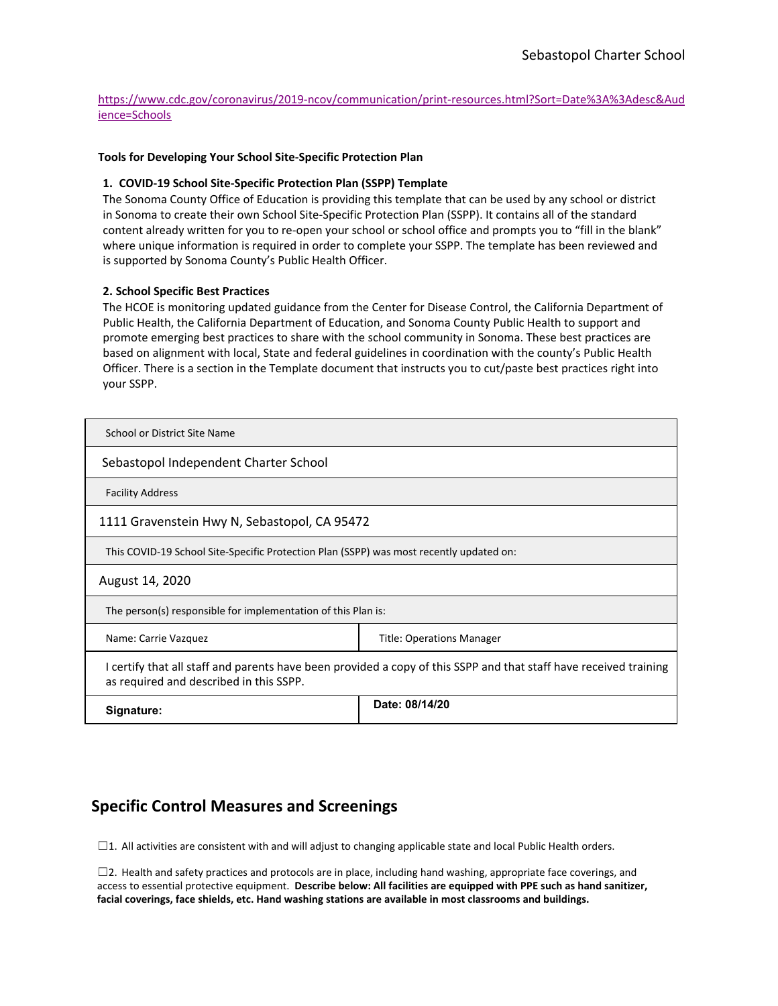[https://www.cdc.gov/coronavirus/2019-ncov/communication/print-resources.html?Sort=Date%3A%3Adesc&Aud](https://www.cdc.gov/coronavirus/2019-ncov/communication/print-resources.html?Sort=Date%3A%3Adesc&Audience=Schools) [ience=Schools](https://www.cdc.gov/coronavirus/2019-ncov/communication/print-resources.html?Sort=Date%3A%3Adesc&Audience=Schools)

#### **Tools for Developing Your School Site-Specific Protection Plan**

#### **1. COVID-19 School Site-Specific Protection Plan (SSPP) Template**

The Sonoma County Office of Education is providing this template that can be used by any school or district in Sonoma to create their own School Site-Specific Protection Plan (SSPP). It contains all of the standard content already written for you to re-open your school or school office and prompts you to "fill in the blank" where unique information is required in order to complete your SSPP. The template has been reviewed and is supported by Sonoma County's Public Health Officer.

#### **2. School Specific Best Practices**

The HCOE is monitoring updated guidance from the Center for Disease Control, the California Department of Public Health, the California Department of Education, and Sonoma County Public Health to support and promote emerging best practices to share with the school community in Sonoma. These best practices are based on alignment with local, State and federal guidelines in coordination with the county's Public Health Officer. There is a section in the Template document that instructs you to cut/paste best practices right into your SSPP.

| School or District Site Name                                                            |                                                                                                                   |  |
|-----------------------------------------------------------------------------------------|-------------------------------------------------------------------------------------------------------------------|--|
| Sebastopol Independent Charter School                                                   |                                                                                                                   |  |
| <b>Facility Address</b>                                                                 |                                                                                                                   |  |
| 1111 Gravenstein Hwy N, Sebastopol, CA 95472                                            |                                                                                                                   |  |
| This COVID-19 School Site-Specific Protection Plan (SSPP) was most recently updated on: |                                                                                                                   |  |
| August 14, 2020                                                                         |                                                                                                                   |  |
| The person(s) responsible for implementation of this Plan is:                           |                                                                                                                   |  |
| Name: Carrie Vazquez<br><b>Title: Operations Manager</b>                                |                                                                                                                   |  |
| as required and described in this SSPP.                                                 | I certify that all staff and parents have been provided a copy of this SSPP and that staff have received training |  |
| Signature:                                                                              | Date: 08/14/20                                                                                                    |  |

## **Specific Control Measures and Screenings**

☐1. All activities are consistent with and will adjust to changing applicable state and local Public Health orders.

☐2. Health and safety practices and protocols are in place, including hand washing, appropriate face coverings, and access to essential protective equipment. **Describe below: All facilities are equipped with PPE such as hand sanitizer, facial coverings, face shields, etc. Hand washing stations are available in most classrooms and buildings.**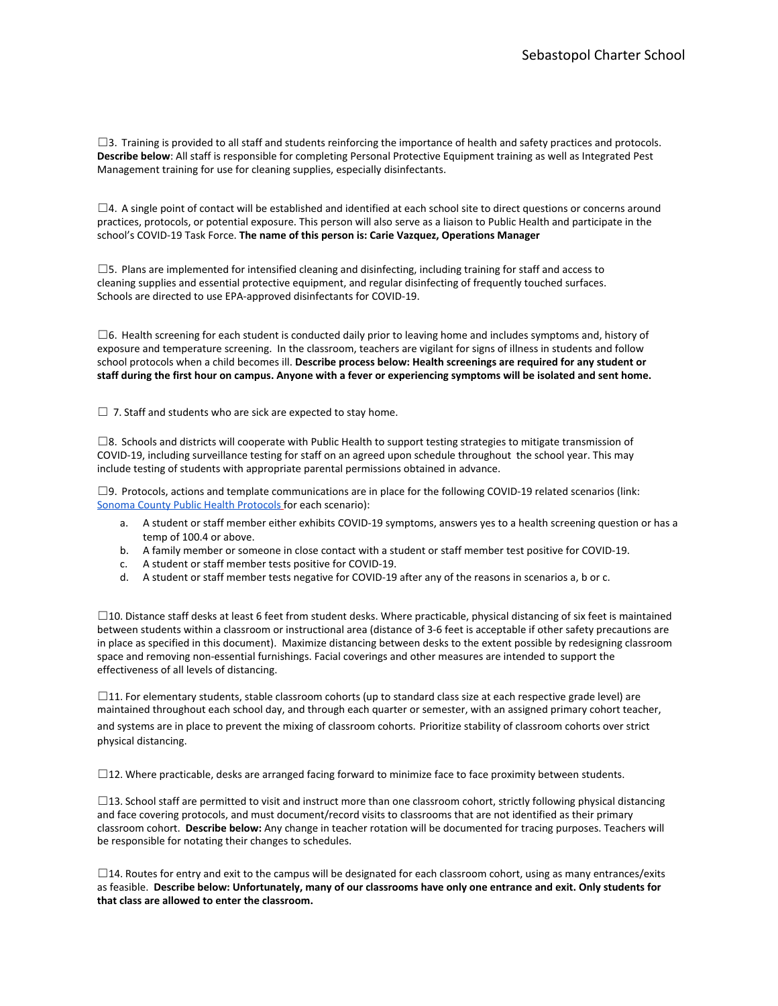$\square$ 3. Training is provided to all staff and students reinforcing the importance of health and safety practices and protocols. **Describe below**: All staff is responsible for completing Personal Protective Equipment training as well as Integrated Pest Management training for use for cleaning supplies, especially disinfectants.

 $\Box$ 4. A single point of contact will be established and identified at each school site to direct questions or concerns around practices, protocols, or potential exposure. This person will also serve as a liaison to Public Health and participate in the school's COVID-19 Task Force. **The name of this person is: Carie Vazquez, Operations Manager**

 $\square$ 5. Plans are implemented for intensified cleaning and disinfecting, including training for staff and access to cleaning supplies and essential protective equipment, and regular disinfecting of frequently touched surfaces. Schools are directed to use EPA-approved disinfectants for COVID-19.

 $\square$ 6. Health screening for each student is conducted daily prior to leaving home and includes symptoms and, history of exposure and temperature screening. In the classroom, teachers are vigilant for signs of illness in students and follow school protocols when a child becomes ill. **Describe process below: Health screenings are required for any student or staff during the first hour on campus. Anyone with a fever or experiencing symptoms will be isolated and sent home.**

 $\Box$  7. Staff and students who are sick are expected to stay home.

 $\square$ 8. Schools and districts will cooperate with Public Health to support testing strategies to mitigate transmission of COVID-19, including surveillance testing for staff on an agreed upon schedule throughout the school year. This may include testing of students with appropriate parental permissions obtained in advance.

 $\square$ 9. Protocols, actions and template communications are in place for the following COVID-19 related scenarios (link: [Sonoma County Public Health Protocols](https://www.scoe.org/files/SCOE_County_Health_Statement_on_School_Guidelines.pdf) for each scenario):

- a. A student or staff member either exhibits COVID-19 symptoms, answers yes to a health screening question or has a temp of 100.4 or above.
- b. A family member or someone in close contact with a student or staff member test positive for COVID-19.
- c. A student or staff member tests positive for COVID-19.
- d. A student or staff member tests negative for COVID-19 after any of the reasons in scenarios a, b or c.

 $\square$ 10. Distance staff desks at least 6 feet from student desks. Where practicable, physical distancing of six feet is maintained between students within a classroom or instructional area (distance of 3-6 feet is acceptable if other safety precautions are in place as specified in this document). Maximize distancing between desks to the extent possible by redesigning classroom space and removing non-essential furnishings. Facial coverings and other measures are intended to support the effectiveness of all levels of distancing.

 $\square$ 11. For elementary students, stable classroom cohorts (up to standard class size at each respective grade level) are maintained throughout each school day, and through each quarter or semester, with an assigned primary cohort teacher, and systems are in place to prevent the mixing of classroom cohorts. Prioritize stability of classroom cohorts over strict physical distancing.

□12. Where practicable, desks are arranged facing forward to minimize face to face proximity between students.

 $\square$ 13. School staff are permitted to visit and instruct more than one classroom cohort, strictly following physical distancing and face covering protocols, and must document/record visits to classrooms that are not identified as their primary classroom cohort. **Describe below:** Any change in teacher rotation will be documented for tracing purposes. Teachers will be responsible for notating their changes to schedules.

 $\Box$ 14. Routes for entry and exit to the campus will be designated for each classroom cohort, using as many entrances/exits as feasible. **Describe below: Unfortunately, many of our classrooms have only one entrance and exit. Only students for that class are allowed to enter the classroom.**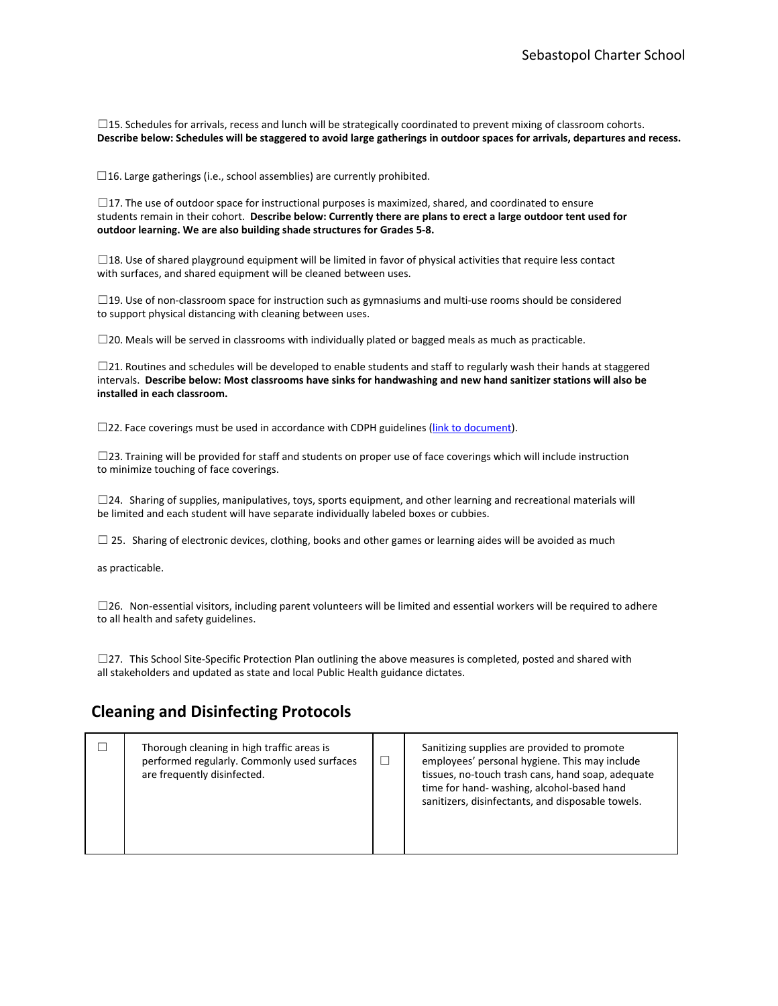□15. Schedules for arrivals, recess and lunch will be strategically coordinated to prevent mixing of classroom cohorts. **Describe below: Schedules will be staggered to avoid large gatherings in outdoor spaces for arrivals, departures and recess.**

 $\Box$ 16. Large gatherings (i.e., school assemblies) are currently prohibited.

 $\square$ 17. The use of outdoor space for instructional purposes is maximized, shared, and coordinated to ensure students remain in their cohort. **Describe below: Currently there are plans to erect a large outdoor tent used for outdoor learning. We are also building shade structures for Grades 5-8.**

 $\square$ 18. Use of shared playground equipment will be limited in favor of physical activities that require less contact with surfaces, and shared equipment will be cleaned between uses.

□19. Use of non-classroom space for instruction such as gymnasiums and multi-use rooms should be considered to support physical distancing with cleaning between uses.

 $\square$ 20. Meals will be served in classrooms with individually plated or bagged meals as much as practicable.

☐21. Routines and schedules will be developed to enable students and staff to regularly wash their hands at staggered intervals. **Describe below: Most classrooms have sinks for handwashing and new hand sanitizer stations will also be installed in each classroom.**

 $\square$ 22. Face coverings must be used in accordance with CDPH guidelines [\(link to document\)](https://files.covid19.ca.gov/pdf/guidance-schools.pdf#page=7#page=7).

 $\square$ 23. Training will be provided for staff and students on proper use of face coverings which will include instruction to minimize touching of face coverings.

 $\square$ 24. Sharing of supplies, manipulatives, toys, sports equipment, and other learning and recreational materials will be limited and each student will have separate individually labeled boxes or cubbies.

 $\square$  25. Sharing of electronic devices, clothing, books and other games or learning aides will be avoided as much

as practicable.

☐26. Non-essential visitors, including parent volunteers will be limited and essential workers will be required to adhere to all health and safety guidelines.

 $\square$ 27. This School Site-Specific Protection Plan outlining the above measures is completed, posted and shared with all stakeholders and updated as state and local Public Health guidance dictates.

## **Cleaning and Disinfecting Protocols**

|  | Thorough cleaning in high traffic areas is<br>performed regularly. Commonly used surfaces<br>are frequently disinfected. | $\Box$ | Sanitizing supplies are provided to promote<br>employees' personal hygiene. This may include<br>tissues, no-touch trash cans, hand soap, adequate<br>time for hand- washing, alcohol-based hand<br>sanitizers, disinfectants, and disposable towels. |  |
|--|--------------------------------------------------------------------------------------------------------------------------|--------|------------------------------------------------------------------------------------------------------------------------------------------------------------------------------------------------------------------------------------------------------|--|
|--|--------------------------------------------------------------------------------------------------------------------------|--------|------------------------------------------------------------------------------------------------------------------------------------------------------------------------------------------------------------------------------------------------------|--|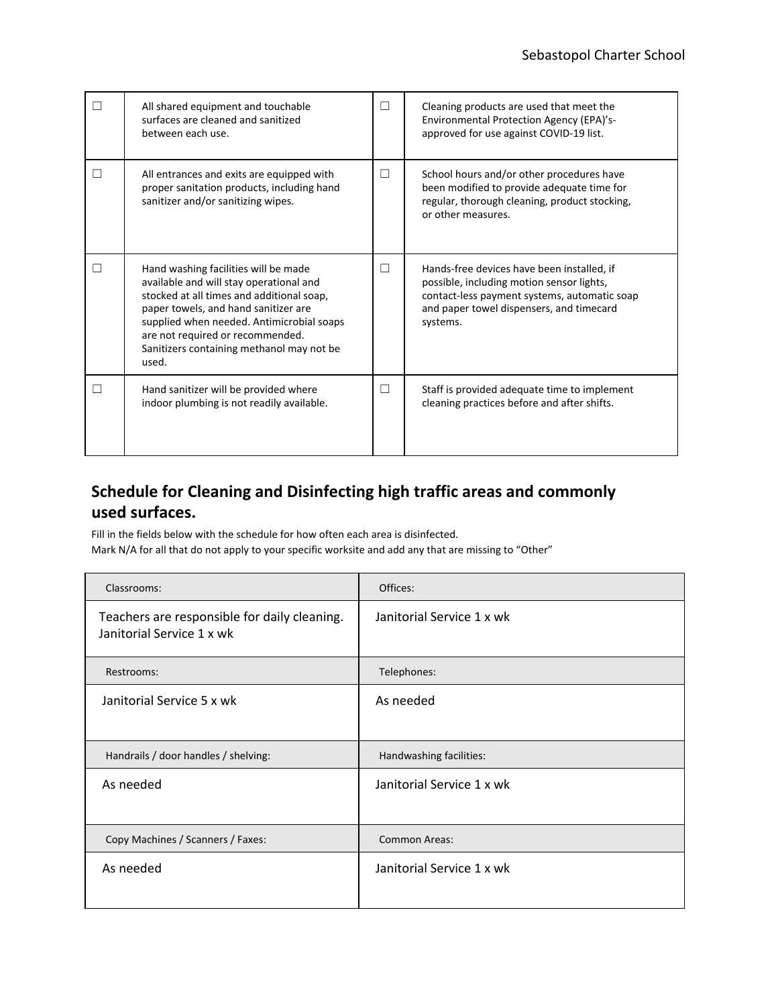| All shared equipment and touchable<br>surfaces are cleaned and sanitized<br>between each use.                                                                                                                                                                                                               | П | Cleaning products are used that meet the<br>Environmental Protection Agency (EPA)'s-<br>approved for use against COVID-19 list.                                                                 |
|-------------------------------------------------------------------------------------------------------------------------------------------------------------------------------------------------------------------------------------------------------------------------------------------------------------|---|-------------------------------------------------------------------------------------------------------------------------------------------------------------------------------------------------|
| All entrances and exits are equipped with<br>proper sanitation products, including hand<br>sanitizer and/or sanitizing wipes.                                                                                                                                                                               | □ | School hours and/or other procedures have<br>been modified to provide adequate time for<br>regular, thorough cleaning, product stocking,<br>or other measures.                                  |
| Hand washing facilities will be made<br>available and will stay operational and<br>stocked at all times and additional soap,<br>paper towels, and hand sanitizer are<br>supplied when needed. Antimicrobial soaps<br>are not required or recommended.<br>Sanitizers containing methanol may not be<br>used. | □ | Hands-free devices have been installed, if<br>possible, including motion sensor lights,<br>contact-less payment systems, automatic soap<br>and paper towel dispensers, and timecard<br>systems. |
| Hand sanitizer will be provided where<br>indoor plumbing is not readily available.                                                                                                                                                                                                                          | П | Staff is provided adequate time to implement<br>cleaning practices before and after shifts.                                                                                                     |

# **Schedule for Cleaning and Disinfecting high traffic areas and commonly used surfaces.**

Fill in the fields below with the schedule for how often each area is disinfected. Mark N/A for all that do not apply to your specific worksite and add any that are missing to "Other"

| Classrooms:                                                               | Offices:                  |  |  |  |
|---------------------------------------------------------------------------|---------------------------|--|--|--|
| Teachers are responsible for daily cleaning.<br>Janitorial Service 1 x wk | Janitorial Service 1 x wk |  |  |  |
| Restrooms:                                                                | Telephones:               |  |  |  |
| Janitorial Service 5 x wk                                                 | As needed                 |  |  |  |
| Handrails / door handles / shelving:                                      | Handwashing facilities:   |  |  |  |
| As needed                                                                 | Janitorial Service 1 x wk |  |  |  |
| Copy Machines / Scanners / Faxes:                                         | <b>Common Areas:</b>      |  |  |  |
| As needed                                                                 | Janitorial Service 1 x wk |  |  |  |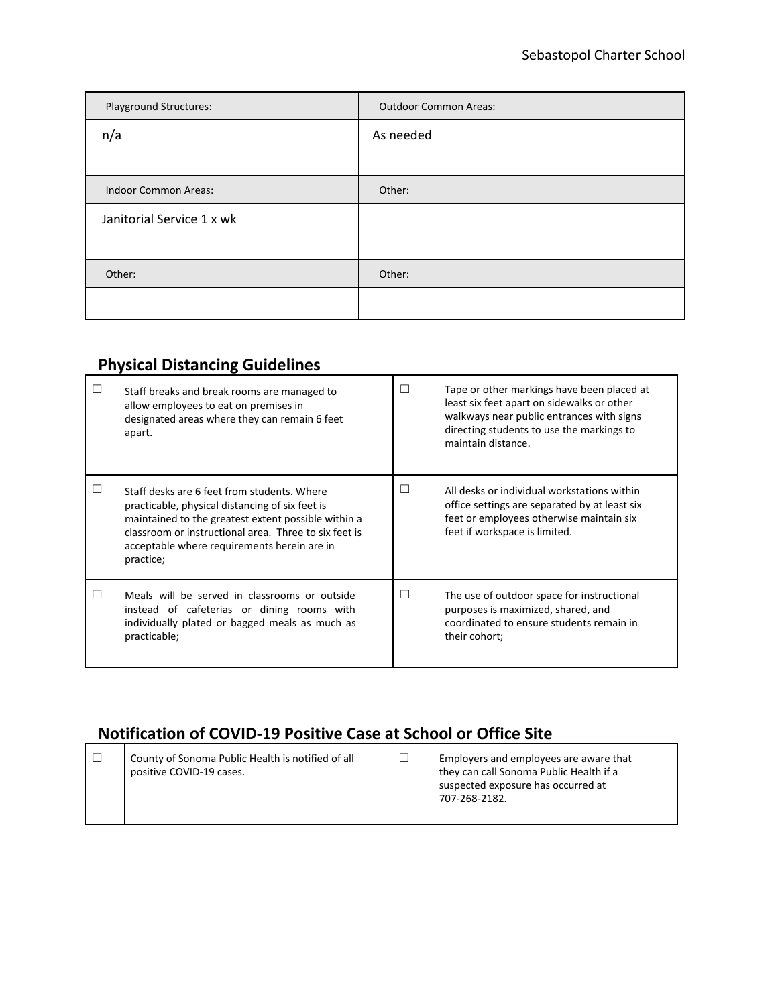| Playground Structures:      | <b>Outdoor Common Areas:</b> |  |  |  |
|-----------------------------|------------------------------|--|--|--|
| n/a                         | As needed                    |  |  |  |
|                             |                              |  |  |  |
| <b>Indoor Common Areas:</b> | Other:                       |  |  |  |
| Janitorial Service 1 x wk   |                              |  |  |  |
|                             |                              |  |  |  |
| Other:                      | Other:                       |  |  |  |
|                             |                              |  |  |  |

# **Physical Distancing Guidelines**

| Staff breaks and break rooms are managed to<br>allow employees to eat on premises in<br>designated areas where they can remain 6 feet<br>apart.                                                                                                                            | $\Box$ | Tape or other markings have been placed at<br>least six feet apart on sidewalks or other<br>walkways near public entrances with signs<br>directing students to use the markings to<br>maintain distance. |
|----------------------------------------------------------------------------------------------------------------------------------------------------------------------------------------------------------------------------------------------------------------------------|--------|----------------------------------------------------------------------------------------------------------------------------------------------------------------------------------------------------------|
| Staff desks are 6 feet from students. Where<br>practicable, physical distancing of six feet is<br>maintained to the greatest extent possible within a<br>classroom or instructional area. Three to six feet is<br>acceptable where requirements herein are in<br>practice; | $\Box$ | All desks or individual workstations within<br>office settings are separated by at least six<br>feet or employees otherwise maintain six<br>feet if workspace is limited.                                |
| Meals will be served in classrooms or outside<br>instead of cafeterias or dining rooms with<br>individually plated or bagged meals as much as<br>practicable;                                                                                                              | П      | The use of outdoor space for instructional<br>purposes is maximized, shared, and<br>coordinated to ensure students remain in<br>their cohort;                                                            |

# **Notification of COVID-19 Positive Case at School or Office Site**

| County of Sonoma Public Health is notified of all<br>positive COVID-19 cases. |  | Employers and employees are aware that<br>they can call Sonoma Public Health if a<br>suspected exposure has occurred at<br>707-268-2182. |
|-------------------------------------------------------------------------------|--|------------------------------------------------------------------------------------------------------------------------------------------|
|-------------------------------------------------------------------------------|--|------------------------------------------------------------------------------------------------------------------------------------------|